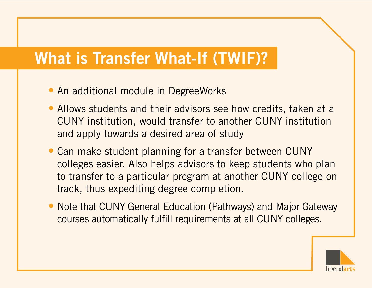# What is Transfer What-If (TWIF)?

- An additional module in DegreeWorks
- Allows students and their advisors see how credits, taken at a CUNY institution, would transfer to another CUNY institution and apply towards a desired area of study
- Can make student planning for a transfer between CUNY colleges easier. Also helps advisors to keep students who plan to transfer to a particular program at another CUNY college on track, thus expediting degree completion.
- Note that CUNY General Education (Pathways) and Major Gateway courses automatically fulfill requirements at all CUNY colleges.

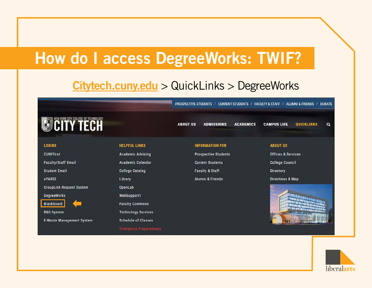### How do I access DegreeWorks: TWIF?

#### <Citytech.cuny.edu> > QuickLinks > DegreeWorks

**ABOUT US** 

PROSPECTIVE STUDENTS / CURRENT STUDENTS / FACULTY & STAFF / ALUMNI & FRIENDS / DONATE

**ACADEMICS** 

# **OCITY TECH**

**LOGINS** 

**CUNYfirst** 

**Faculty/Staff Email** 

**Student Email** 

ePARSE

**GroupLink Request System** 

**DegreeWorks** 

**Blackboard** 

**B&G System** 

**E-Waste Management System** 

**HELPFUL LINKS** 

**Academic Advising Academic Calendar College Catalog** Library OpenLab WebSupport1 **Faculty Commons Technology Services** 

**Schedule of Classes** 

**Emergency Preparedness** 

#### **INFORMATION FOR**

**ADMISSIONS** 

**Prospective Students Current Students Faculty & Staff** 

Alumni & Friends

#### **ABOUT US**

**CAMPUS LIFE** 

Offices & Services

**College Council** 

Directory

Directions & Map



**QUICKLINKS** 

 $\alpha$ 

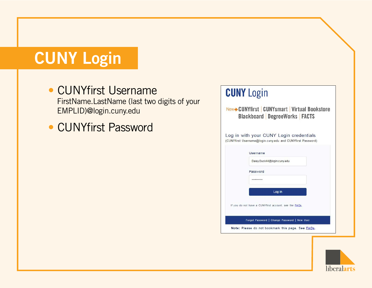# CUNY Login

- CUNYfirst Username FirstName.LastName (last two digits of your EMPLID)@login.cuny.edu
- CUNYfirst Password



liberalarts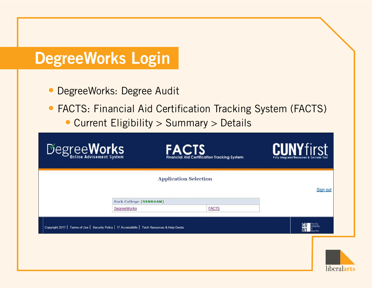# DegreeWorks Login

- DegreeWorks: Degree Audit
- FACTS: Financial Aid Certification Tracking System (FACTS) • Current Eligibility > Summary > Details

| Degree Works                                                                                     | <b>FACTS</b><br><b>Financial Aid Certification Tracking System</b> | <b>CUNYfirst</b><br>Fully Integrated Resources & Services Tool |
|--------------------------------------------------------------------------------------------------|--------------------------------------------------------------------|----------------------------------------------------------------|
|                                                                                                  | <b>Application Selection</b>                                       |                                                                |
|                                                                                                  |                                                                    | Sign out                                                       |
| York College (SRNRGAM)<br>DegreeWorks                                                            | <b>FACTS</b>                                                       |                                                                |
|                                                                                                  |                                                                    |                                                                |
| Copyright 2017   Terms of Use   Security Policy   IT Accessibility   Tech Resources & Help Desks |                                                                    | ICU<br><b>riversity</b>                                        |
|                                                                                                  |                                                                    |                                                                |

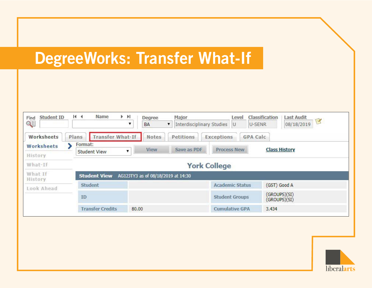# DegreeWorks: Transfer What-If

| <b>Student ID</b><br>Find<br>QĘ | 14.4                     | Name                    | F FI<br>▼ | Degree<br>BA                       | ۷           | Major<br><b>Interdisciplinary Studies</b> |                    | Level<br>U             | Classification<br>U-SENR     | Last Audit<br>B<br>08/18/2019 |
|---------------------------------|--------------------------|-------------------------|-----------|------------------------------------|-------------|-------------------------------------------|--------------------|------------------------|------------------------------|-------------------------------|
| Worksheets                      | Plans                    | <b>Transfer What-If</b> |           | <b>Notes</b>                       |             | Petitions                                 | <b>Exceptions</b>  |                        | <b>GPA Calc</b>              |                               |
| Worksheets                      | Format:                  |                         |           |                                    |             |                                           |                    |                        |                              |                               |
| History                         | <b>Student View</b><br>▼ |                         | View      |                                    | Save as PDF |                                           | <b>Process New</b> |                        | <b>Class History</b>         |                               |
| What-If                         |                          | <b>York College</b>     |           |                                    |             |                                           |                    |                        |                              |                               |
| What If<br>History              |                          | <b>Student View</b>     |           | AG12JTY3 as of 08/18/2019 at 14:30 |             |                                           |                    |                        |                              |                               |
| Look Ahead                      | <b>Student</b>           |                         |           |                                    |             |                                           |                    | <b>Academic Status</b> | (GST) Good A                 |                               |
|                                 | ID                       |                         |           |                                    |             |                                           |                    | <b>Student Groups</b>  | (GROUPS)(SI)<br>(GROUPS)(SI) |                               |
|                                 |                          | <b>Transfer Credits</b> | 80.00     |                                    |             |                                           |                    | <b>Cumulative GPA</b>  | 3.434                        |                               |

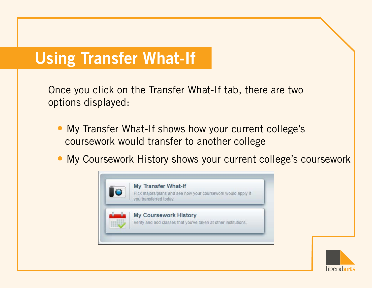## Using Transfer What-If

Once you click on the Transfer What-If tab, there are two options displayed:

- My Transfer What-If shows how your current college's coursework would transfer to another college
- My Coursework History shows your current college's coursework



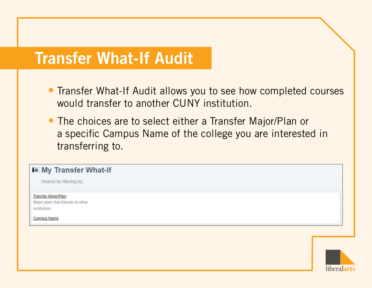### Transfer What-If Audit

- Transfer What-If Audit allows you to see how completed courses would transfer to another CUNY institution.
- The choices are to select either a Transfer Major/Plan or a specific Campus Name of the college you are interested in transferring to.

#### Io My Transfer What-If

Search by filtering by:

Transfer Major/Plan Major plans that transfer to other institutions

**Campus Name** 

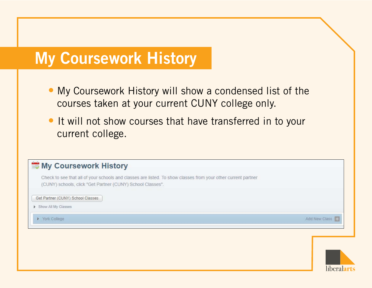#### My Coursework History

- My Coursework History will show a condensed list of the courses taken at your current CUNY college only.
- It will not show courses that have transferred in to your current college.

#### My Coursework History

Check to see that all of your schools and classes are listed. To show classes from your other current partner (CUNY) schools, click "Get Partner (CUNY) School Classes".

Get Partner (CUNY) School Classes

Show All My Classes

▶ York College

Add New Class

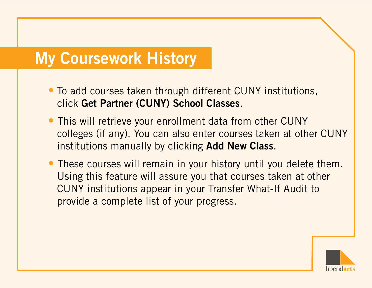### My Coursework History

- To add courses taken through different CUNY institutions, click Get Partner (CUNY) School Classes.
- This will retrieve your enrollment data from other CUNY colleges (if any). You can also enter courses taken at other CUNY institutions manually by clicking Add New Class.
- These courses will remain in your history until you delete them. Using this feature will assure you that courses taken at other CUNY institutions appear in your Transfer What-If Audit to provide a complete list of your progress.

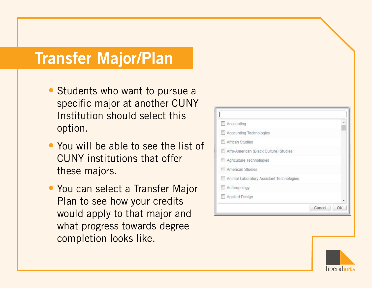#### Transfer Major/Plan

- Students who want to pursue a specific major at another CUNY Institution should select this option.
- You will be able to see the list of CUNY institutions that offer these majors.
- You can select a Transfer Major Plan to see how your credits would apply to that major and what progress towards degree completion looks like.

| Accounting                               |              |
|------------------------------------------|--------------|
| Accounting Technologies                  |              |
| African Studies                          |              |
| Afro-American (Black Culture) Studies    |              |
| Agriculture Technologies                 |              |
| American Studies                         |              |
| Animal Laboratory Assistant Technologies |              |
| Anthropology                             |              |
| Applied Design                           |              |
|                                          | Cancel<br>OK |

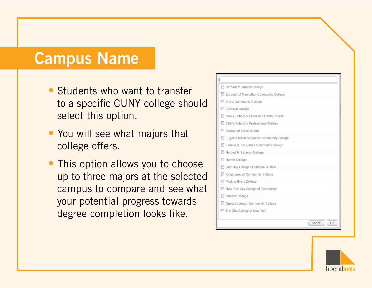#### Campus Name

- Students who want to transfer to a specific CUNY college should select this option.
- You will see what majors that college offers.
- This option allows you to choose up to three majors at the selected campus to compare and see what your potential progress towards degree completion looks like.



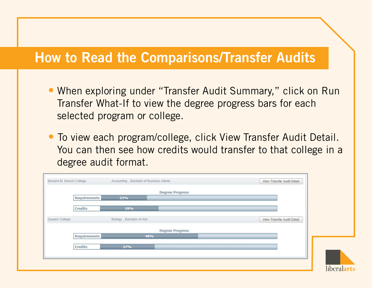#### How to Read the Comparisons/Transfer Audits

- When exploring under "Transfer Audit Summary," click on Run Transfer What-If to view the degree progress bars for each selected program or college.
- To view each program/college, click View Transfer Audit Detail. You can then see how credits would transfer to that college in a degree audit format.

|                |                |                           | <b>Degree Progress</b> |                            |  |
|----------------|----------------|---------------------------|------------------------|----------------------------|--|
|                | Requirements   | 23%                       |                        |                            |  |
|                | <b>Credits</b> | 29%                       |                        |                            |  |
| Queens College |                | Biology, Bachelor of Arts |                        | View Transfer Audit Detail |  |
|                |                |                           | <b>Degree Progress</b> |                            |  |
|                | Requirements   | 48%                       |                        |                            |  |
|                | Credits        | 27%                       |                        |                            |  |
|                |                |                           |                        |                            |  |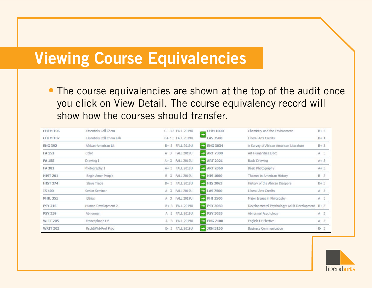#### Viewing Course Equivalencies

• The course equivalencies are shown at the top of the audit once you click on View Detail. The course equivalency record will show how the courses should transfer.

| <b>CHEM 106</b> | Essentials Coll Chem     | C- 3.5 FALL 2019U               | <b>CHM 1000</b>                  | Chemistry and the Environment                   | $B + 4$    |
|-----------------|--------------------------|---------------------------------|----------------------------------|-------------------------------------------------|------------|
| <b>CHEM 107</b> | Essentials Coll Chem Lab | B+ 1.5 FALL 2019U               | $\Rightarrow$<br><b>LAS 7500</b> | Liberal Arts Credits                            | $B+1$      |
| <b>ENG 392</b>  | African-American Lit     | B+3 FALL 2019U                  | $\Rightarrow$ ENG 3034           | A Survey of African American Literature         | $B + 3$    |
| FA 151          | Color                    | FALL 2019U<br>A <sub>3</sub>    | $\Rightarrow$ ART 7300           | Art Humanities Elect                            | A 3        |
| FA 155          | Drawing I                | A+ 3 FALL 2019U                 | $\Rightarrow$ ART 2021           | <b>Basic Drawing</b>                            | $A + 3$    |
| FA 381          | Photography 1            | A+ 3 FALL 2019U                 | $\bigcirc$ ART 2060              | Basic Photography                               | $A + 3$    |
| <b>HIST 201</b> | Begin Amer People        | <b>FALL 2019U</b><br><b>B</b> 3 | $\bigoplus$ HIS 1000             | Themes in American History                      | <b>B</b> 3 |
| <b>HIST 374</b> | Slave Trade              | B+ 3 FALL 2019U                 | $\bigoplus$ HIS 3063             | History of the African Diaspora                 | $B + 3$    |
| <b>IS400</b>    | Senior Seminar           | A 3 FALL 2019U                  | $\bigoplus$ LAS 7500             | Liberal Arts Credits                            | $A$ $3$    |
| <b>PHIL 351</b> | Ethics                   | A 3 FALL 2019U                  | $\Rightarrow$ PHI 1500           | Major Issues in Philosophy                      | A.3        |
| PSY 216         | Human Development 2      | B+ 3 FALL 2019U                 | $\Rightarrow$ PSY 3060           | Developmental Psychology: Adult Development B+3 |            |
| <b>PSY 338</b>  | Abnormal                 | A 3 FALL 2019U                  | PSY 3055                         | Abnormal Psychology                             | A 3        |
| <b>WLIT 205</b> | Francophone Lit          | A- 3 FALL 2019U                 | $\Rightarrow$ ENG 7100           | English Lit Elective                            | $A - 3$    |
| <b>WRIT 303</b> | Rsch&Wrt-Prof Prog       | <b>FALL 2019U</b><br>$B-3$      | $\Rightarrow$ JRN 3150           | <b>Business Communication</b>                   | $B-3$      |

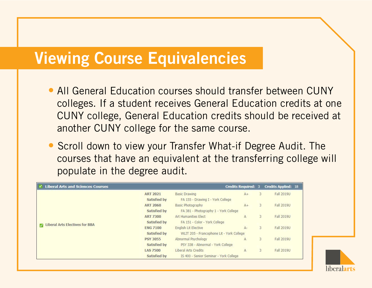#### Viewing Course Equivalencies

- All General Education courses should transfer between CUNY colleges. If a student receives General Education credits at one CUNY college, General Education credits should be received at another CUNY college for the same course.
- Scroll down to view your Transfer What-if Degree Audit. The courses that have an equivalent at the transferring college will populate in the degree audit.

| <b>Liberal Arts and Sciences Courses</b>                |                                 |                                                                          | <b>Credits Required: 3</b> |   | <b>Credits Applied: 18</b> |
|---------------------------------------------------------|---------------------------------|--------------------------------------------------------------------------|----------------------------|---|----------------------------|
|                                                         | <b>ART 2021</b><br>Satisfied by | <b>Basic Drawing</b><br>FA 155 - Drawing I - York College                | $A+$                       | 3 | Fall 2019U                 |
|                                                         | <b>ART 2060</b><br>Satisfied by | Basic Photography<br>FA 381 - Photography 1 - York College               | $A +$                      | 3 | <b>Fall 2019U</b>          |
|                                                         | <b>ART 7300</b><br>Satisfied by | Art Humanities Elect<br>FA 151 - Color - York College                    | $\mathbb{A}$               | 3 | Fall 2019U                 |
| <b>Liberal Arts Electives for BBA</b><br>$\overline{J}$ | <b>ENG 7100</b><br>Satisfied by | <b>English Lit Elective</b><br>WLIT 205 - Francophone Lit - York College | $A-$                       | 3 | <b>Fall 2019U</b>          |
|                                                         | <b>PSY 3055</b><br>Satisfied by | Abnormal Psychology<br>PSY 338 - Abnormal - York College                 | $\mathbb{A}$               | 3 | <b>Fall 2019U</b>          |
|                                                         | <b>LAS 7500</b><br>Satisfied by | Liberal Arts Credits<br>IS 400 - Senior Seminar - York College           | A                          | 3 | <b>Fall 2019U</b>          |

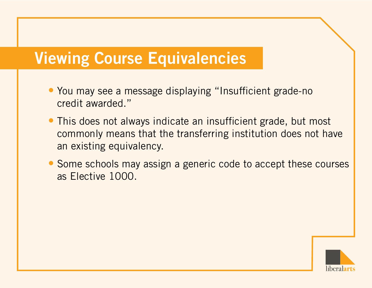# Viewing Course Equivalencies

- You may see a message displaying "Insufficient grade-no credit awarded."
- This does not always indicate an insufficient grade, but most commonly means that the transferring institution does not have an existing equivalency.
- Some schools may assign a generic code to accept these courses as Elective 1000.